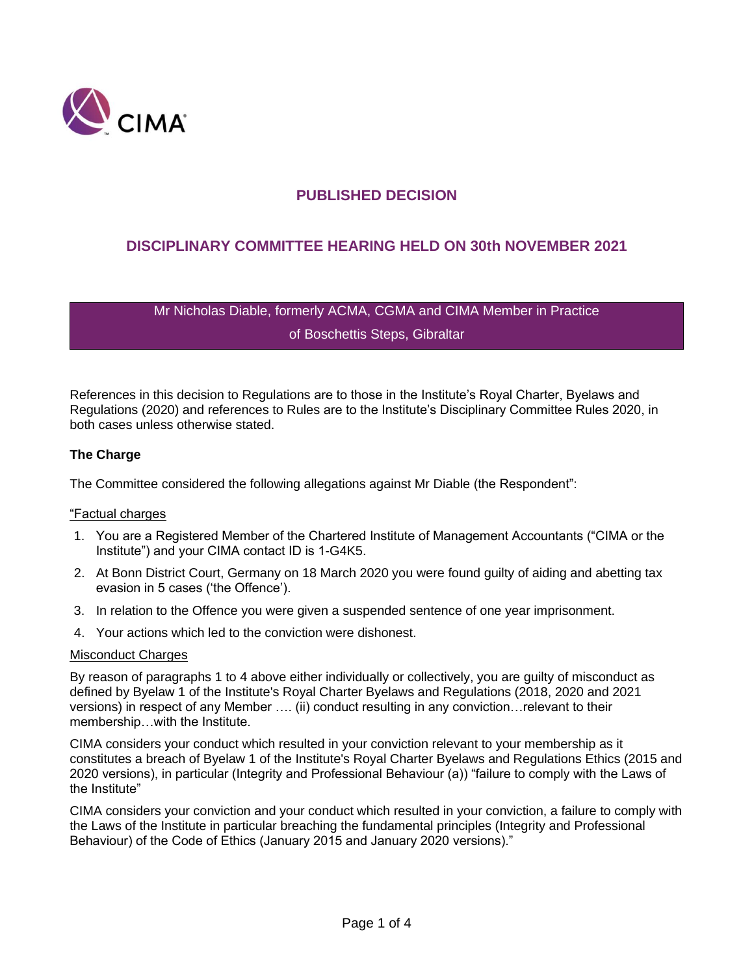

# **PUBLISHED DECISION**

# **DISCIPLINARY COMMITTEE HEARING HELD ON 30th NOVEMBER 2021**

Mr Nicholas Diable, formerly ACMA, CGMA and CIMA Member in Practice of Boschettis Steps, Gibraltar

References in this decision to Regulations are to those in the Institute's Royal Charter, Byelaws and Regulations (2020) and references to Rules are to the Institute's Disciplinary Committee Rules 2020, in both cases unless otherwise stated.

### **The Charge**

The Committee considered the following allegations against Mr Diable (the Respondent":

#### "Factual charges

- 1. You are a Registered Member of the Chartered Institute of Management Accountants ("CIMA or the Institute") and your CIMA contact ID is 1-G4K5.
- 2. At Bonn District Court, Germany on 18 March 2020 you were found guilty of aiding and abetting tax evasion in 5 cases ('the Offence').
- 3. In relation to the Offence you were given a suspended sentence of one year imprisonment.
- 4. Your actions which led to the conviction were dishonest.

#### Misconduct Charges

By reason of paragraphs 1 to 4 above either individually or collectively, you are guilty of misconduct as defined by Byelaw 1 of the Institute's Royal Charter Byelaws and Regulations (2018, 2020 and 2021 versions) in respect of any Member …. (ii) conduct resulting in any conviction…relevant to their membership…with the Institute.

CIMA considers your conduct which resulted in your conviction relevant to your membership as it constitutes a breach of Byelaw 1 of the Institute's Royal Charter Byelaws and Regulations Ethics (2015 and 2020 versions), in particular (Integrity and Professional Behaviour (a)) "failure to comply with the Laws of the Institute"

CIMA considers your conviction and your conduct which resulted in your conviction, a failure to comply with the Laws of the Institute in particular breaching the fundamental principles (Integrity and Professional Behaviour) of the Code of Ethics (January 2015 and January 2020 versions)."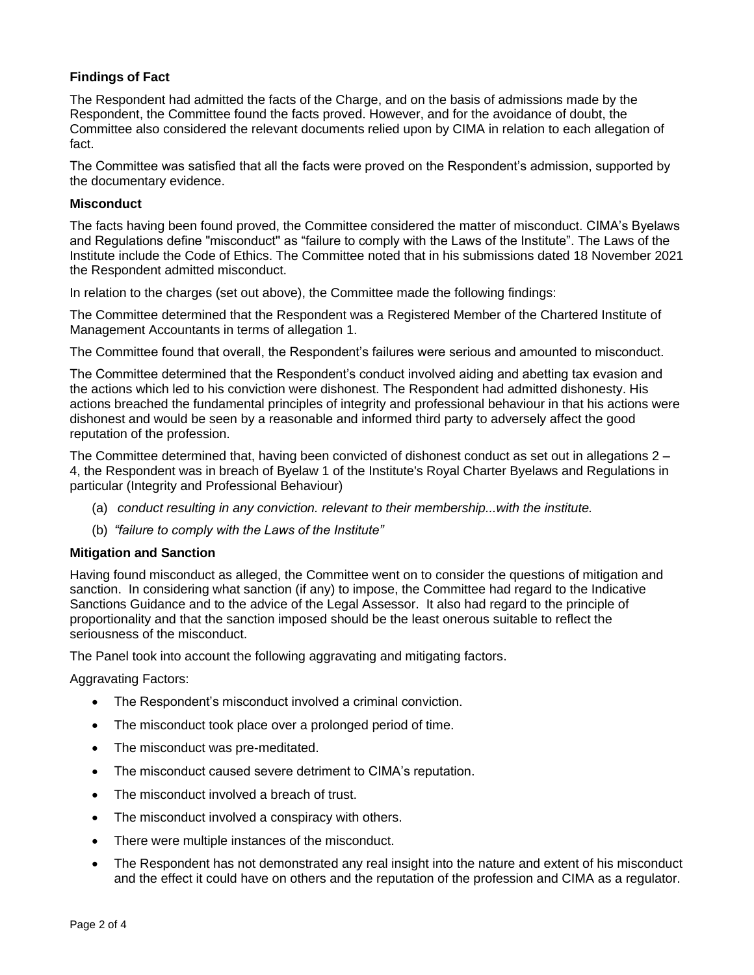# **Findings of Fact**

The Respondent had admitted the facts of the Charge, and on the basis of admissions made by the Respondent, the Committee found the facts proved. However, and for the avoidance of doubt, the Committee also considered the relevant documents relied upon by CIMA in relation to each allegation of fact.

The Committee was satisfied that all the facts were proved on the Respondent's admission, supported by the documentary evidence.

### **Misconduct**

The facts having been found proved, the Committee considered the matter of misconduct. CIMA's Byelaws and Regulations define "misconduct'' as "failure to comply with the Laws of the Institute". The Laws of the Institute include the Code of Ethics. The Committee noted that in his submissions dated 18 November 2021 the Respondent admitted misconduct.

In relation to the charges (set out above), the Committee made the following findings:

The Committee determined that the Respondent was a Registered Member of the Chartered Institute of Management Accountants in terms of allegation 1.

The Committee found that overall, the Respondent's failures were serious and amounted to misconduct.

The Committee determined that the Respondent's conduct involved aiding and abetting tax evasion and the actions which led to his conviction were dishonest. The Respondent had admitted dishonesty. His actions breached the fundamental principles of integrity and professional behaviour in that his actions were dishonest and would be seen by a reasonable and informed third party to adversely affect the good reputation of the profession.

The Committee determined that, having been convicted of dishonest conduct as set out in allegations 2 – 4, the Respondent was in breach of Byelaw 1 of the Institute's Royal Charter Byelaws and Regulations in particular (Integrity and Professional Behaviour)

- (a) *conduct resulting in any conviction. relevant to their membership...with the institute.*
- (b) *"failure to comply with the Laws of the Institute"*

## **Mitigation and Sanction**

Having found misconduct as alleged, the Committee went on to consider the questions of mitigation and sanction. In considering what sanction (if any) to impose, the Committee had regard to the Indicative Sanctions Guidance and to the advice of the Legal Assessor. It also had regard to the principle of proportionality and that the sanction imposed should be the least onerous suitable to reflect the seriousness of the misconduct.

The Panel took into account the following aggravating and mitigating factors.

Aggravating Factors:

- The Respondent's misconduct involved a criminal conviction.
- The misconduct took place over a prolonged period of time.
- The misconduct was pre-meditated.
- The misconduct caused severe detriment to CIMA's reputation.
- The misconduct involved a breach of trust.
- The misconduct involved a conspiracy with others.
- There were multiple instances of the misconduct.
- The Respondent has not demonstrated any real insight into the nature and extent of his misconduct and the effect it could have on others and the reputation of the profession and CIMA as a regulator.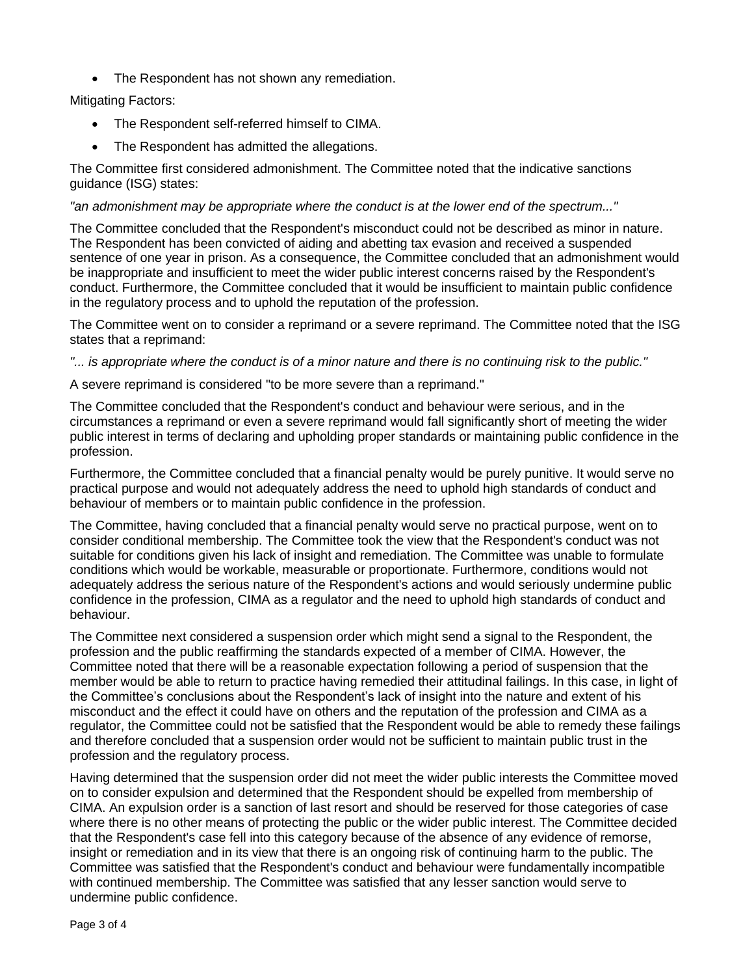• The Respondent has not shown any remediation.

# Mitigating Factors:

- The Respondent self-referred himself to CIMA.
- The Respondent has admitted the allegations.

The Committee first considered admonishment. The Committee noted that the indicative sanctions guidance (ISG) states:

## *"an admonishment may be appropriate where the conduct is at the lower end of the spectrum..."*

The Committee concluded that the Respondent's misconduct could not be described as minor in nature. The Respondent has been convicted of aiding and abetting tax evasion and received a suspended sentence of one year in prison. As a consequence, the Committee concluded that an admonishment would be inappropriate and insufficient to meet the wider public interest concerns raised by the Respondent's conduct. Furthermore, the Committee concluded that it would be insufficient to maintain public confidence in the regulatory process and to uphold the reputation of the profession.

The Committee went on to consider a reprimand or a severe reprimand. The Committee noted that the ISG states that a reprimand:

*"... is appropriate where the conduct is of a minor nature and there is no continuing risk to the public."* 

A severe reprimand is considered "to be more severe than a reprimand."

The Committee concluded that the Respondent's conduct and behaviour were serious, and in the circumstances a reprimand or even a severe reprimand would fall significantly short of meeting the wider public interest in terms of declaring and upholding proper standards or maintaining public confidence in the profession.

Furthermore, the Committee concluded that a financial penalty would be purely punitive. It would serve no practical purpose and would not adequately address the need to uphold high standards of conduct and behaviour of members or to maintain public confidence in the profession.

The Committee, having concluded that a financial penalty would serve no practical purpose, went on to consider conditional membership. The Committee took the view that the Respondent's conduct was not suitable for conditions given his lack of insight and remediation. The Committee was unable to formulate conditions which would be workable, measurable or proportionate. Furthermore, conditions would not adequately address the serious nature of the Respondent's actions and would seriously undermine public confidence in the profession, CIMA as a regulator and the need to uphold high standards of conduct and behaviour.

The Committee next considered a suspension order which might send a signal to the Respondent, the profession and the public reaffirming the standards expected of a member of CIMA. However, the Committee noted that there will be a reasonable expectation following a period of suspension that the member would be able to return to practice having remedied their attitudinal failings. In this case, in light of the Committee's conclusions about the Respondent's lack of insight into the nature and extent of his misconduct and the effect it could have on others and the reputation of the profession and CIMA as a regulator, the Committee could not be satisfied that the Respondent would be able to remedy these failings and therefore concluded that a suspension order would not be sufficient to maintain public trust in the profession and the regulatory process.

Having determined that the suspension order did not meet the wider public interests the Committee moved on to consider expulsion and determined that the Respondent should be expelled from membership of CIMA. An expulsion order is a sanction of last resort and should be reserved for those categories of case where there is no other means of protecting the public or the wider public interest. The Committee decided that the Respondent's case fell into this category because of the absence of any evidence of remorse, insight or remediation and in its view that there is an ongoing risk of continuing harm to the public. The Committee was satisfied that the Respondent's conduct and behaviour were fundamentally incompatible with continued membership. The Committee was satisfied that any lesser sanction would serve to undermine public confidence.